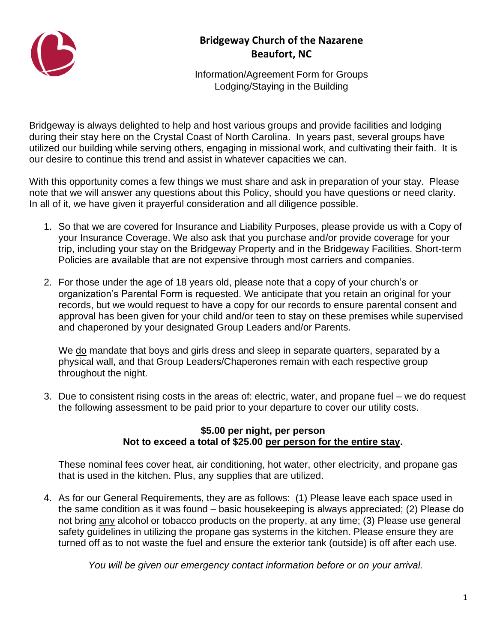

## **Bridgeway Church of the Nazarene Beaufort, NC**

Information/Agreement Form for Groups Lodging/Staying in the Building

Bridgeway is always delighted to help and host various groups and provide facilities and lodging during their stay here on the Crystal Coast of North Carolina. In years past, several groups have utilized our building while serving others, engaging in missional work, and cultivating their faith. It is our desire to continue this trend and assist in whatever capacities we can.

With this opportunity comes a few things we must share and ask in preparation of your stay. Please note that we will answer any questions about this Policy, should you have questions or need clarity. In all of it, we have given it prayerful consideration and all diligence possible.

- 1. So that we are covered for Insurance and Liability Purposes, please provide us with a Copy of your Insurance Coverage. We also ask that you purchase and/or provide coverage for your trip, including your stay on the Bridgeway Property and in the Bridgeway Facilities. Short-term Policies are available that are not expensive through most carriers and companies.
- 2. For those under the age of 18 years old, please note that a copy of your church's or organization's Parental Form is requested. We anticipate that you retain an original for your records, but we would request to have a copy for our records to ensure parental consent and approval has been given for your child and/or teen to stay on these premises while supervised and chaperoned by your designated Group Leaders and/or Parents.

We do mandate that boys and girls dress and sleep in separate quarters, separated by a physical wall, and that Group Leaders/Chaperones remain with each respective group throughout the night.

3. Due to consistent rising costs in the areas of: electric, water, and propane fuel – we do request the following assessment to be paid prior to your departure to cover our utility costs.

## **\$5.00 per night, per person Not to exceed a total of \$25.00 per person for the entire stay.**

These nominal fees cover heat, air conditioning, hot water, other electricity, and propane gas that is used in the kitchen. Plus, any supplies that are utilized.

4. As for our General Requirements, they are as follows: (1) Please leave each space used in the same condition as it was found – basic housekeeping is always appreciated; (2) Please do not bring any alcohol or tobacco products on the property, at any time; (3) Please use general safety guidelines in utilizing the propane gas systems in the kitchen. Please ensure they are turned off as to not waste the fuel and ensure the exterior tank (outside) is off after each use.

*You will be given our emergency contact information before or on your arrival.*